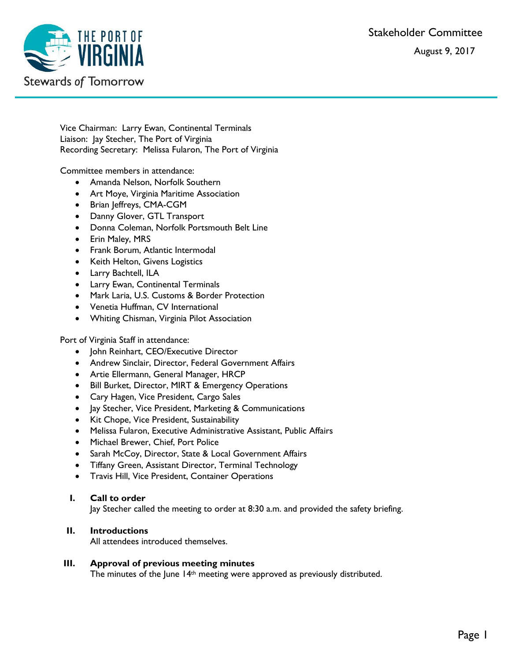Stakeholder Committee August 9, 2017



Vice Chairman: Larry Ewan, Continental Terminals Liaison: Jay Stecher, The Port of Virginia Recording Secretary: Melissa Fularon, The Port of Virginia

Committee members in attendance:

- Amanda Nelson, Norfolk Southern
- Art Moye, Virginia Maritime Association
- Brian Jeffreys, CMA-CGM
- Danny Glover, GTL Transport
- Donna Coleman, Norfolk Portsmouth Belt Line
- Erin Maley, MRS
- Frank Borum, Atlantic Intermodal
- Keith Helton, Givens Logistics
- Larry Bachtell, ILA
- Larry Ewan, Continental Terminals
- Mark Laria, U.S. Customs & Border Protection
- Venetia Huffman, CV International
- Whiting Chisman, Virginia Pilot Association

Port of Virginia Staff in attendance:

- John Reinhart, CEO/Executive Director
- Andrew Sinclair, Director, Federal Government Affairs
- Artie Ellermann, General Manager, HRCP
- Bill Burket, Director, MIRT & Emergency Operations
- Cary Hagen, Vice President, Cargo Sales
- Jay Stecher, Vice President, Marketing & Communications
- Kit Chope, Vice President, Sustainability
- Melissa Fularon, Executive Administrative Assistant, Public Affairs
- Michael Brewer, Chief, Port Police
- Sarah McCoy, Director, State & Local Government Affairs
- Tiffany Green, Assistant Director, Terminal Technology
- Travis Hill, Vice President, Container Operations

# **I. Call to order**

Jay Stecher called the meeting to order at 8:30 a.m. and provided the safety briefing.

# **II. Introductions**

All attendees introduced themselves.

#### **III. Approval of previous meeting minutes**

The minutes of the June 14<sup>th</sup> meeting were approved as previously distributed.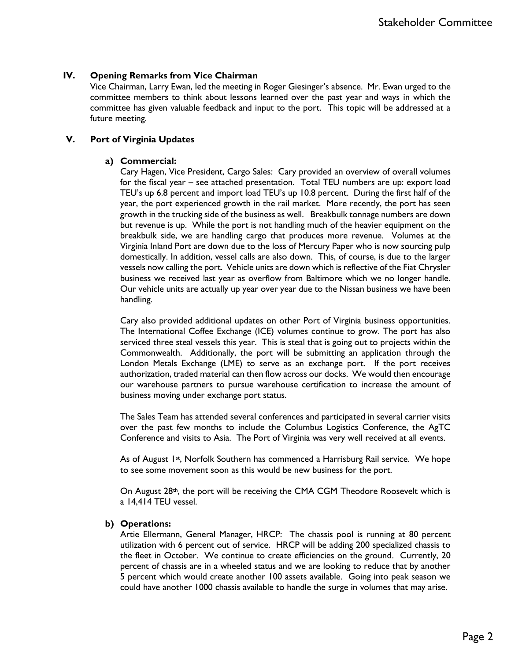## **IV. Opening Remarks from Vice Chairman**

Vice Chairman, Larry Ewan, led the meeting in Roger Giesinger's absence. Mr. Ewan urged to the committee members to think about lessons learned over the past year and ways in which the committee has given valuable feedback and input to the port. This topic will be addressed at a future meeting.

### **V. Port of Virginia Updates**

## **a) Commercial:**

Cary Hagen, Vice President, Cargo Sales: Cary provided an overview of overall volumes for the fiscal year – see attached presentation. Total TEU numbers are up: export load TEU's up 6.8 percent and import load TEU's up 10.8 percent. During the first half of the year, the port experienced growth in the rail market. More recently, the port has seen growth in the trucking side of the business as well. Breakbulk tonnage numbers are down but revenue is up. While the port is not handling much of the heavier equipment on the breakbulk side, we are handling cargo that produces more revenue. Volumes at the Virginia Inland Port are down due to the loss of Mercury Paper who is now sourcing pulp domestically. In addition, vessel calls are also down. This, of course, is due to the larger vessels now calling the port. Vehicle units are down which is reflective of the Fiat Chrysler business we received last year as overflow from Baltimore which we no longer handle. Our vehicle units are actually up year over year due to the Nissan business we have been handling.

Cary also provided additional updates on other Port of Virginia business opportunities. The International Coffee Exchange (ICE) volumes continue to grow. The port has also serviced three steal vessels this year. This is steal that is going out to projects within the Commonwealth. Additionally, the port will be submitting an application through the London Metals Exchange (LME) to serve as an exchange port. If the port receives authorization, traded material can then flow across our docks. We would then encourage our warehouse partners to pursue warehouse certification to increase the amount of business moving under exchange port status.

The Sales Team has attended several conferences and participated in several carrier visits over the past few months to include the Columbus Logistics Conference, the AgTC Conference and visits to Asia. The Port of Virginia was very well received at all events.

As of August 1<sup>st</sup>, Norfolk Southern has commenced a Harrisburg Rail service. We hope to see some movement soon as this would be new business for the port.

On August 28<sup>th</sup>, the port will be receiving the CMA CGM Theodore Roosevelt which is a 14,414 TEU vessel.

#### **b) Operations:**

Artie Ellermann, General Manager, HRCP: The chassis pool is running at 80 percent utilization with 6 percent out of service. HRCP will be adding 200 specialized chassis to the fleet in October. We continue to create efficiencies on the ground. Currently, 20 percent of chassis are in a wheeled status and we are looking to reduce that by another 5 percent which would create another 100 assets available. Going into peak season we could have another 1000 chassis available to handle the surge in volumes that may arise.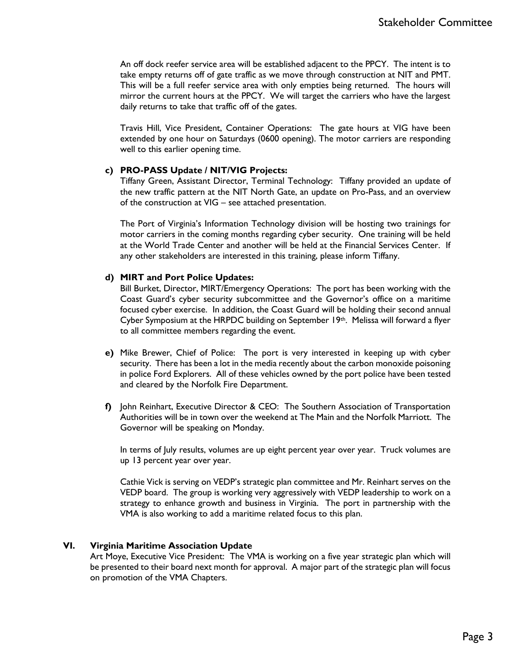An off dock reefer service area will be established adjacent to the PPCY. The intent is to take empty returns off of gate traffic as we move through construction at NIT and PMT. This will be a full reefer service area with only empties being returned. The hours will mirror the current hours at the PPCY. We will target the carriers who have the largest daily returns to take that traffic off of the gates.

Travis Hill, Vice President, Container Operations:The gate hours at VIG have been extended by one hour on Saturdays (0600 opening). The motor carriers are responding well to this earlier opening time.

#### **c) PRO-PASS Update / NIT/VIG Projects:**

Tiffany Green, Assistant Director, Terminal Technology: Tiffany provided an update of the new traffic pattern at the NIT North Gate, an update on Pro-Pass, and an overview of the construction at VIG – see attached presentation.

The Port of Virginia's Information Technology division will be hosting two trainings for motor carriers in the coming months regarding cyber security. One training will be held at the World Trade Center and another will be held at the Financial Services Center. If any other stakeholders are interested in this training, please inform Tiffany.

## **d) MIRT and Port Police Updates:**

Bill Burket, Director, MIRT/Emergency Operations:The port has been working with the Coast Guard's cyber security subcommittee and the Governor's office on a maritime focused cyber exercise. In addition, the Coast Guard will be holding their second annual Cyber Symposium at the HRPDC building on September 19th. Melissa will forward a flyer to all committee members regarding the event.

- **e)** Mike Brewer, Chief of Police: The port is very interested in keeping up with cyber security. There has been a lot in the media recently about the carbon monoxide poisoning in police Ford Explorers. All of these vehicles owned by the port police have been tested and cleared by the Norfolk Fire Department.
- **f)** John Reinhart, Executive Director & CEO: The Southern Association of Transportation Authorities will be in town over the weekend at The Main and the Norfolk Marriott. The Governor will be speaking on Monday.

In terms of July results, volumes are up eight percent year over year. Truck volumes are up 13 percent year over year.

Cathie Vick is serving on VEDP's strategic plan committee and Mr. Reinhart serves on the VEDP board. The group is working very aggressively with VEDP leadership to work on a strategy to enhance growth and business in Virginia. The port in partnership with the VMA is also working to add a maritime related focus to this plan.

# **VI. Virginia Maritime Association Update**

Art Moye, Executive Vice President: The VMA is working on a five year strategic plan which will be presented to their board next month for approval. A major part of the strategic plan will focus on promotion of the VMA Chapters.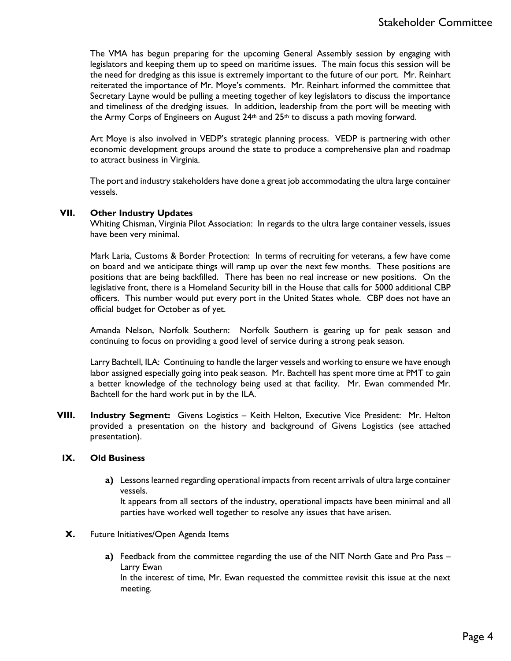The VMA has begun preparing for the upcoming General Assembly session by engaging with legislators and keeping them up to speed on maritime issues. The main focus this session will be the need for dredging as this issue is extremely important to the future of our port. Mr. Reinhart reiterated the importance of Mr. Moye's comments. Mr. Reinhart informed the committee that Secretary Layne would be pulling a meeting together of key legislators to discuss the importance and timeliness of the dredging issues. In addition, leadership from the port will be meeting with the Army Corps of Engineers on August  $24th$  and  $25th$  to discuss a path moving forward.

Art Moye is also involved in VEDP's strategic planning process. VEDP is partnering with other economic development groups around the state to produce a comprehensive plan and roadmap to attract business in Virginia.

The port and industry stakeholders have done a great job accommodating the ultra large container vessels.

#### **VII. Other Industry Updates**

Whiting Chisman, Virginia Pilot Association: In regards to the ultra large container vessels, issues have been very minimal.

Mark Laria, Customs & Border Protection: In terms of recruiting for veterans, a few have come on board and we anticipate things will ramp up over the next few months. These positions are positions that are being backfilled. There has been no real increase or new positions. On the legislative front, there is a Homeland Security bill in the House that calls for 5000 additional CBP officers. This number would put every port in the United States whole. CBP does not have an official budget for October as of yet.

Amanda Nelson, Norfolk Southern: Norfolk Southern is gearing up for peak season and continuing to focus on providing a good level of service during a strong peak season.

Larry Bachtell, ILA: Continuing to handle the larger vessels and working to ensure we have enough labor assigned especially going into peak season. Mr. Bachtell has spent more time at PMT to gain a better knowledge of the technology being used at that facility. Mr. Ewan commended Mr. Bachtell for the hard work put in by the ILA.

**VIII. Industry Segment:** Givens Logistics – Keith Helton, Executive Vice President: Mr. Helton provided a presentation on the history and background of Givens Logistics (see attached presentation).

#### **IX. Old Business**

**a)** Lessons learned regarding operational impacts from recent arrivals of ultra large container vessels.

It appears from all sectors of the industry, operational impacts have been minimal and all parties have worked well together to resolve any issues that have arisen.

- **X.** Future Initiatives/Open Agenda Items
	- **a)** Feedback from the committee regarding the use of the NIT North Gate and Pro Pass Larry Ewan

In the interest of time, Mr. Ewan requested the committee revisit this issue at the next meeting.